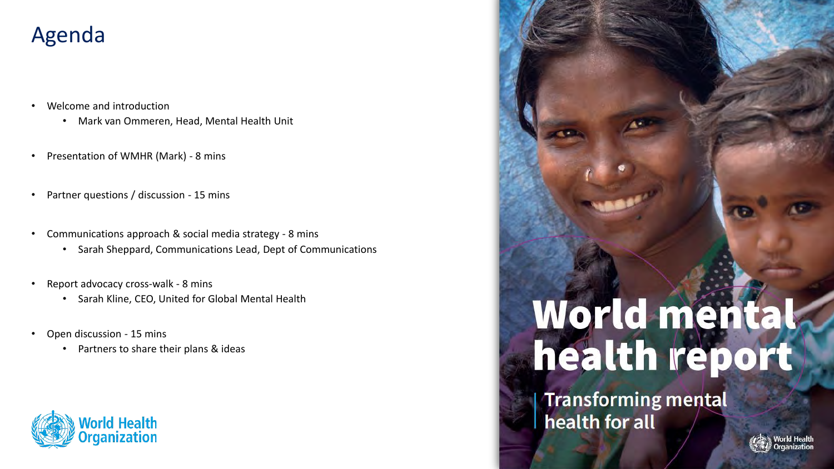### Agenda

- Welcome and introduction
	- Mark van Ommeren, Head, Mental Health Unit
- Presentation of WMHR (Mark) 8 mins
- Partner questions / discussion 15 mins
- Communications approach & social media strategy 8 mins
	- Sarah Sheppard, Communications Lead, Dept of Communications
- Report advocacy cross-walk 8 mins
	- Sarah Kline, CEO, United for Global Mental Health
- Open discussion 15 mins
	- Partners to share their plans & ideas

# **Id Health**

# World mental

**Transforming mental** health for all

1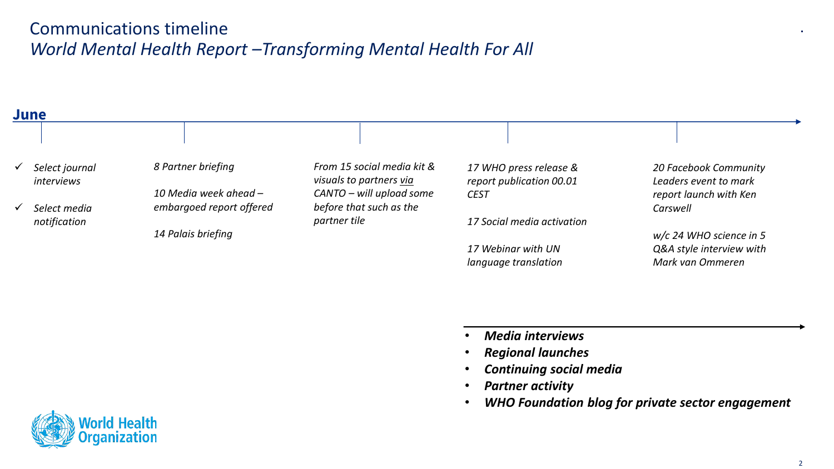#### Communications timeline *World Mental Health Report –Transforming Mental Health For All*

| June                                |                          |                                                       |                                                    |                                                |
|-------------------------------------|--------------------------|-------------------------------------------------------|----------------------------------------------------|------------------------------------------------|
|                                     |                          |                                                       |                                                    |                                                |
| Select journal<br><i>interviews</i> | 8 Partner briefing       | From 15 social media kit &<br>visuals to partners via | 17 WHO press release &<br>report publication 00.01 | 20 Facebook Community<br>Leaders event to mark |
|                                     | 10 Media week ahead -    | CANTO - will upload some                              | <b>CEST</b>                                        | report launch with Ken                         |
| Select media                        | embargoed report offered | before that such as the                               |                                                    | Carswell                                       |
| notification                        |                          | partner tile                                          | 17 Social media activation                         |                                                |
|                                     | 14 Palais briefing       |                                                       |                                                    | $w/c$ 24 WHO science in 5                      |
|                                     |                          |                                                       | 17 Webinar with UN                                 | Q&A style interview with                       |
|                                     |                          |                                                       | language translation                               | Mark van Ommeren                               |
|                                     |                          |                                                       |                                                    |                                                |

- *Media interviews*
- *Regional launches*
- *Continuing social media*
- *Partner activity*
- *WHO Foundation blog for private sector engagement*

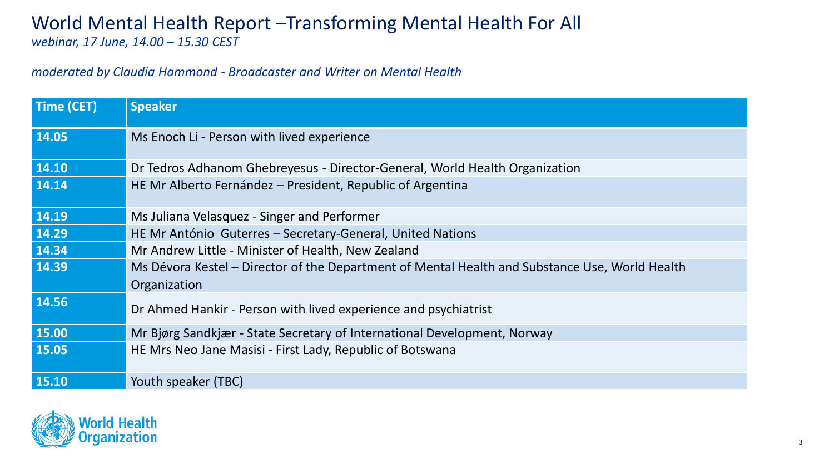#### World Mental Health Report –Transforming Mental Health For All *webinar, 17 June, 14.00 – 15.30 CEST*

#### *moderated by Claudia Hammond - Broadcaster and Writer on Mental Health*

| <b>Time (CET)</b> | <b>Speaker</b>                                                                                 |  |  |
|-------------------|------------------------------------------------------------------------------------------------|--|--|
| 14.05             | Ms Enoch Li - Person with lived experience                                                     |  |  |
| 14.10             | Dr Tedros Adhanom Ghebreyesus - Director-General, World Health Organization                    |  |  |
| 14.14             | HE Mr Alberto Fernández – President, Republic of Argentina                                     |  |  |
| 14.19             | Ms Juliana Velasquez - Singer and Performer                                                    |  |  |
| 14.29             | HE Mr António Guterres - Secretary-General, United Nations                                     |  |  |
| 14.34             | Mr Andrew Little - Minister of Health, New Zealand                                             |  |  |
| 14.39             | Ms Dévora Kestel - Director of the Department of Mental Health and Substance Use, World Health |  |  |
|                   | Organization                                                                                   |  |  |
| 14.56             | Dr Ahmed Hankir - Person with lived experience and psychiatrist                                |  |  |
| 15.00             | Mr Biørg Sandkjær - State Secretary of International Development, Norway                       |  |  |
| 15.05             | HE Mrs Neo Jane Masisi - First Lady, Republic of Botswana                                      |  |  |
| 15.10             | Youth speaker (TBC)                                                                            |  |  |

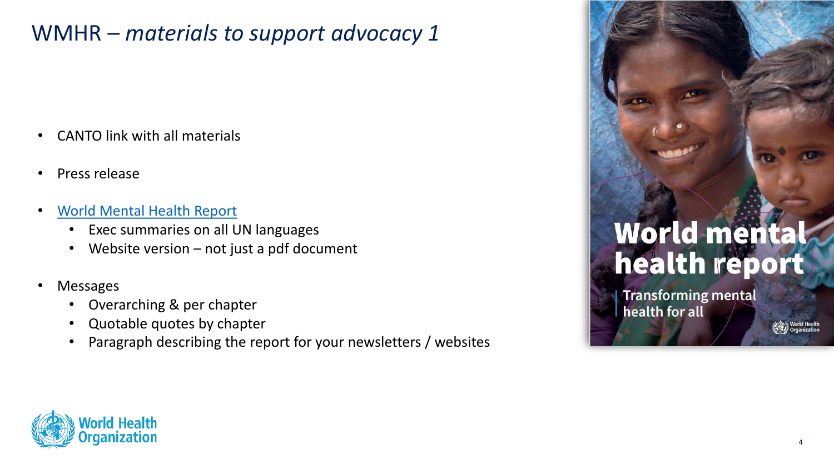# WMHR *– materials to support advocacy 1*

- CANTO link with all materials
- Press release
- [World Mental Health Report](https://www.who.int/publications/i/item/9789240049338)
	- Exec summaries on all UN languages
	- Website version not just a pdf document
- Messages
	- Overarching & per chapter
	- Quotable quotes by chapter
	- Paragraph describing the report for your newsletters / websites

# World mental health report

**Transforming mental** health for all

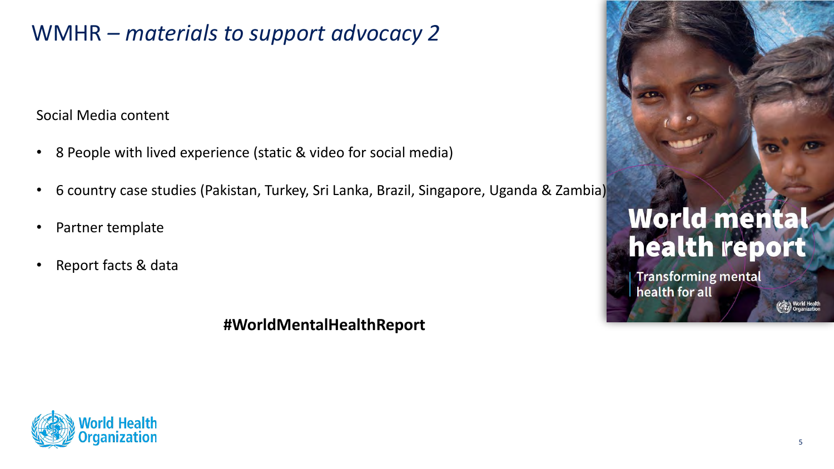## WMHR *– materials to support advocacy 2*

Social Media content

- 8 People with lived experience (static & video for social media)
- 6 country case studies (Pakistan, Turkey, Sri Lanka, Brazil, Singapore, Uganda & Zambia)
- Partner template
- Report facts & data

**#WorldMentalHealthReport**



**Transforming mental** health for all

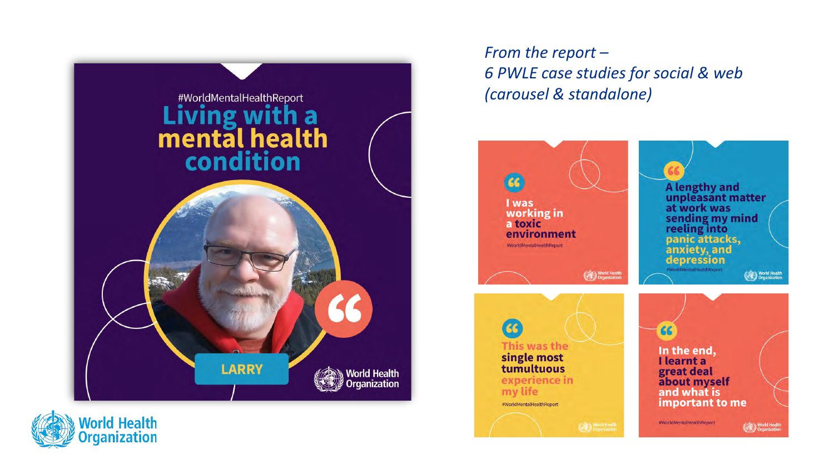

**World Health<br>Organization** 

*From the report – 6 PWLE case studies for social & web (carousel & standalone)*

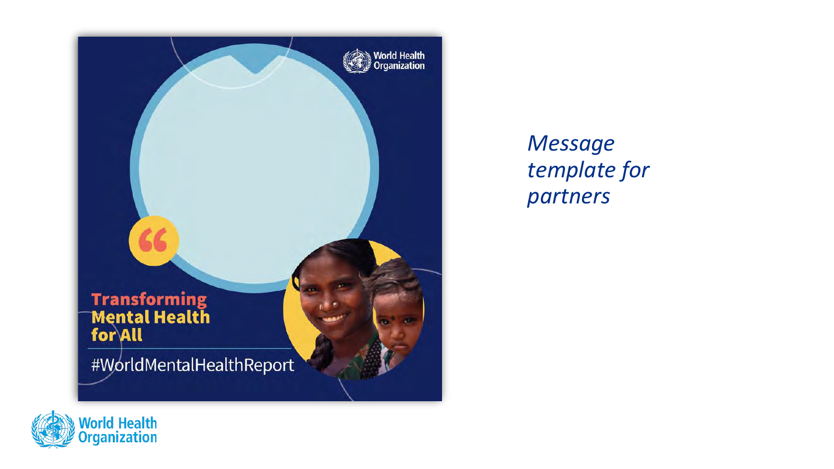

*Message template for partners*

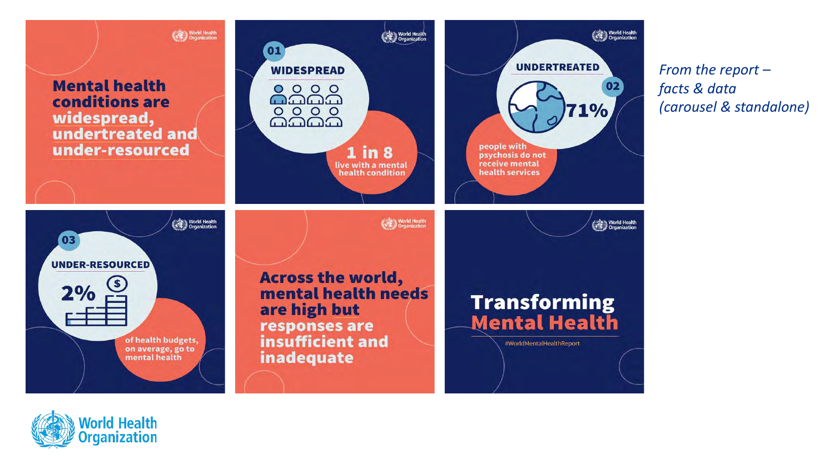

*From the report – facts & data (carousel & standalone)*

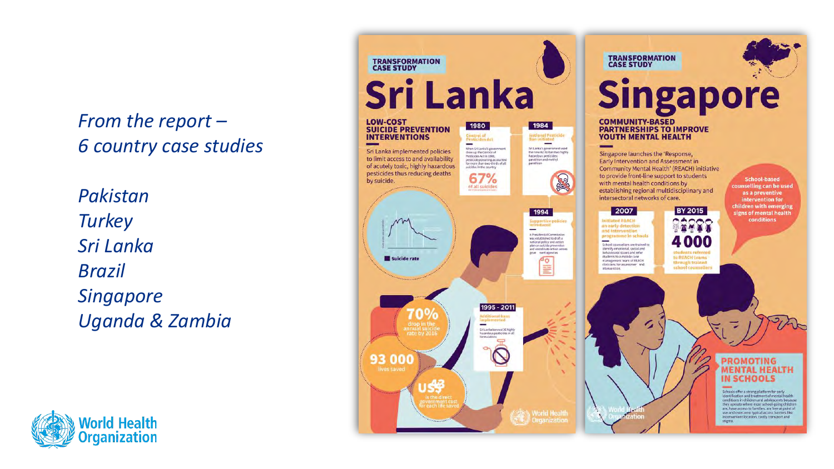*From the report – 6 country case studies*

*Pakistan Turkey Sri Lanka Brazil Singapore Uganda & Zambia*